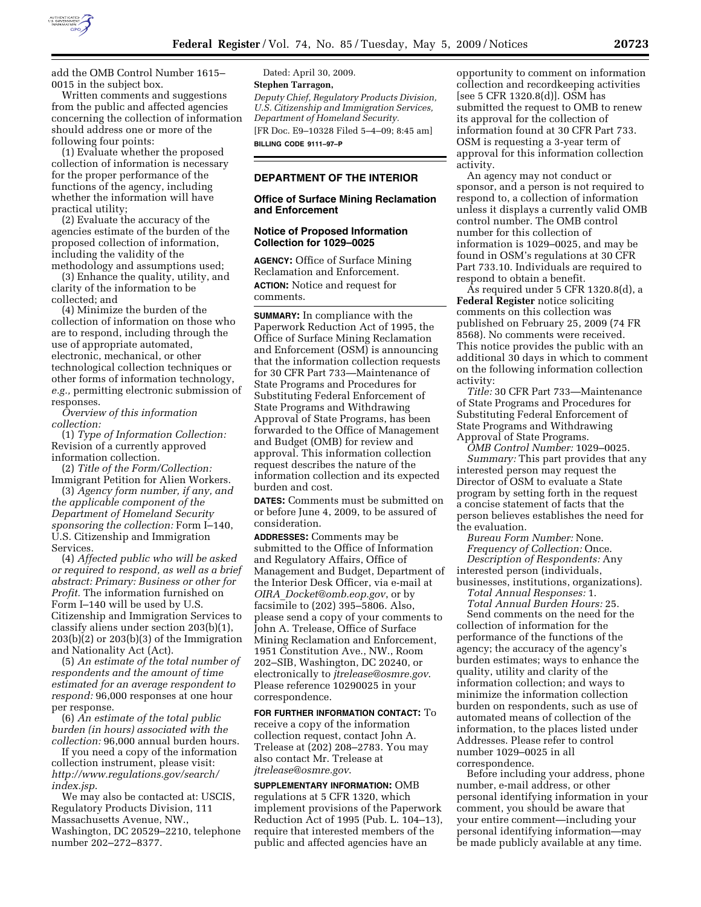

add the OMB Control Number 1615– 0015 in the subject box.

Written comments and suggestions from the public and affected agencies concerning the collection of information should address one or more of the following four points:

(1) Evaluate whether the proposed collection of information is necessary for the proper performance of the functions of the agency, including whether the information will have practical utility;

(2) Evaluate the accuracy of the agencies estimate of the burden of the proposed collection of information, including the validity of the methodology and assumptions used;

(3) Enhance the quality, utility, and clarity of the information to be collected; and

(4) Minimize the burden of the collection of information on those who are to respond, including through the use of appropriate automated, electronic, mechanical, or other technological collection techniques or other forms of information technology, *e.g.,* permitting electronic submission of responses.

*Overview of this information collection:* 

(1) *Type of Information Collection:*  Revision of a currently approved information collection.

(2) *Title of the Form/Collection:*  Immigrant Petition for Alien Workers.

(3) *Agency form number, if any, and the applicable component of the Department of Homeland Security sponsoring the collection:* Form I–140, U.S. Citizenship and Immigration Services.

(4) *Affected public who will be asked or required to respond, as well as a brief abstract: Primary: Business or other for Profit.* The information furnished on Form I–140 will be used by U.S. Citizenship and Immigration Services to classify aliens under section 203(b)(1),  $203(b)(2)$  or  $203(b)(3)$  of the Immigration and Nationality Act (Act).

(5) *An estimate of the total number of respondents and the amount of time estimated for an average respondent to respond:* 96,000 responses at one hour per response.

(6) *An estimate of the total public burden (in hours) associated with the collection:* 96,000 annual burden hours.

If you need a copy of the information collection instrument, please visit: *http://www.regulations.gov/search/ index.jsp*.

We may also be contacted at: USCIS, Regulatory Products Division, 111 Massachusetts Avenue, NW., Washington, DC 20529–2210, telephone number 202–272–8377.

Dated: April 30, 2009. **Stephen Tarragon,**  *Deputy Chief, Regulatory Products Division, U.S. Citizenship and Immigration Services, Department of Homeland Security.*  [FR Doc. E9–10328 Filed 5–4–09; 8:45 am]

**BILLING CODE 9111–97–P** 

# **DEPARTMENT OF THE INTERIOR**

### **Office of Surface Mining Reclamation and Enforcement**

## **Notice of Proposed Information Collection for 1029–0025**

**AGENCY:** Office of Surface Mining Reclamation and Enforcement. **ACTION:** Notice and request for comments.

**SUMMARY:** In compliance with the Paperwork Reduction Act of 1995, the Office of Surface Mining Reclamation and Enforcement (OSM) is announcing that the information collection requests for 30 CFR Part 733—Maintenance of State Programs and Procedures for Substituting Federal Enforcement of State Programs and Withdrawing Approval of State Programs, has been forwarded to the Office of Management and Budget (OMB) for review and approval. This information collection request describes the nature of the information collection and its expected burden and cost.

**DATES:** Comments must be submitted on or before June 4, 2009, to be assured of consideration.

**ADDRESSES:** Comments may be submitted to the Office of Information and Regulatory Affairs, Office of Management and Budget, Department of the Interior Desk Officer, via e-mail at *OIRA*\_*Docket@omb.eop.gov*, or by facsimile to (202) 395–5806. Also, please send a copy of your comments to John A. Trelease, Office of Surface Mining Reclamation and Enforcement, 1951 Constitution Ave., NW., Room 202–SIB, Washington, DC 20240, or electronically to *jtrelease@osmre.gov*. Please reference 10290025 in your correspondence.

**FOR FURTHER INFORMATION CONTACT:** To receive a copy of the information collection request, contact John A. Trelease at (202) 208–2783. You may also contact Mr. Trelease at *jtrelease@osmre.gov*.

**SUPPLEMENTARY INFORMATION:** OMB regulations at 5 CFR 1320, which implement provisions of the Paperwork Reduction Act of 1995 (Pub. L. 104–13), require that interested members of the public and affected agencies have an

opportunity to comment on information collection and recordkeeping activities [see 5 CFR 1320.8(d)]. OSM has submitted the request to OMB to renew its approval for the collection of information found at 30 CFR Part 733. OSM is requesting a 3-year term of approval for this information collection activity.

An agency may not conduct or sponsor, and a person is not required to respond to, a collection of information unless it displays a currently valid OMB control number. The OMB control number for this collection of information is 1029–0025, and may be found in OSM's regulations at 30 CFR Part 733.10. Individuals are required to respond to obtain a benefit.

As required under 5 CFR 1320.8(d), a **Federal Register** notice soliciting comments on this collection was published on February 25, 2009 (74 FR 8568). No comments were received. This notice provides the public with an additional 30 days in which to comment on the following information collection activity:

*Title:* 30 CFR Part 733—Maintenance of State Programs and Procedures for Substituting Federal Enforcement of State Programs and Withdrawing Approval of State Programs.

*OMB Control Number:* 1029–0025. *Summary:* This part provides that any interested person may request the Director of OSM to evaluate a State program by setting forth in the request a concise statement of facts that the person believes establishes the need for the evaluation.

*Bureau Form Number:* None. *Frequency of Collection:* Once. *Description of Respondents:* Any interested person (individuals, businesses, institutions, organizations).

*Total Annual Responses:* 1.

*Total Annual Burden Hours:* 25. Send comments on the need for the collection of information for the performance of the functions of the agency; the accuracy of the agency's burden estimates; ways to enhance the quality, utility and clarity of the information collection; and ways to minimize the information collection burden on respondents, such as use of automated means of collection of the information, to the places listed under Addresses. Please refer to control number 1029–0025 in all correspondence.

Before including your address, phone number, e-mail address, or other personal identifying information in your comment, you should be aware that your entire comment—including your personal identifying information—may be made publicly available at any time.